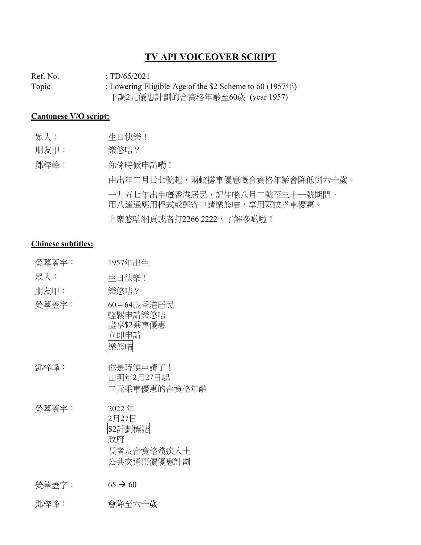### **TV API VOICEOVER SCRIPT**

Ref. No. : TD/65/2021 Topic : Lowering Eligible Age of the \$2 Scheme to 60 (1957年) 下調2元優惠計劃的合資格年齡至60歲 (year 1957)

#### **Cantonese V/O script:**

| 眾人: | 生日快樂! |
|-----|-------|

朋友甲: 樂悠咭?

鄧梓峰: 你係時候申請嘞!

由出年二月廿七號起,兩蚊搭車優惠嘅合資格年齡會降低到六十歲。 一九五七年出生嘅香港居民,記住喺八月二號至三十一號期間, 用八達通應用程式或郵寄申請樂悠咭,享用兩蚊搭車優惠。 上樂悠咭網頁或者打2266 2222, 了解多啲啦!

#### **Chinese subtitles:**

| <b>熒幕蓋字:</b> | 1957年出生                                                     |
|--------------|-------------------------------------------------------------|
| 眾人:          | 生日快樂!                                                       |
| 朋友甲:         | 樂悠咭?                                                        |
| 熒幕蓋字:        | 60-64歲香港居民<br>輕鬆申請樂悠咭<br>盡享\$2乘車優惠<br>立即申請<br>樂悠喵           |
| 鄧梓峰:         | 你是時候申請了!<br>由明年2月27日起<br>二元乘車優惠的合資格年齡                       |
| 熒幕蓋字:        | 2022年<br>2月27日<br>\$2計劃標誌<br>政府<br>長者及合資格殘疾人士<br>公共交通票價優惠計劃 |
| 熒幕蓋字:        | $65 \rightarrow 60$                                         |

鄧梓峰: 會降至六十歲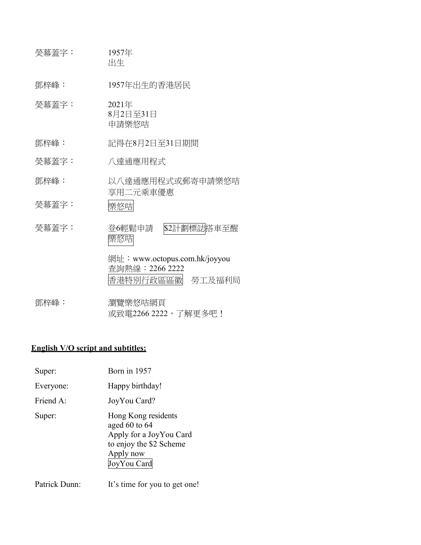| 熒幕蓋字: | 1957年<br>出生                                                            |
|-------|------------------------------------------------------------------------|
| 鄧梓峰:  | 1957年出生的香港居民                                                           |
| 熒幕蓋字: | 2021年<br>8月2日至31日<br>申請樂悠咭                                             |
| 鄧梓峰:  | 記得在8月2日至31日期間                                                          |
| 熒幕蓋字: | 八達通應用程式                                                                |
| 鄧梓峰:  | 以八達通應用程式或郵寄申請樂悠咭<br>享用二元乘車優惠                                           |
| 熒幕蓋字: | 樂悠咭                                                                    |
| 熒幕蓋字: | \$2計劃標誌搭車至醒<br>登6輕鬆申請<br>樂悠咭                                           |
|       | 網址:www.octopus.com.hk/joyyou<br>查詢熱線: 2266 2222<br>香港特別行政區區徽<br>勞工及福利局 |
| 鄧梓峰:  | 瀏覽樂悠咭網頁                                                                |

# 或致電2266 2222,了解更多吧!

## **English V/O script and subtitles:**

| Super:    | Born in 1957                                                                                                               |
|-----------|----------------------------------------------------------------------------------------------------------------------------|
| Everyone: | Happy birthday!                                                                                                            |
| Friend A: | JoyYou Card?                                                                                                               |
| Super:    | Hong Kong residents<br>aged $60$ to $64$<br>Apply for a JoyYou Card<br>to enjoy the \$2 Scheme<br>Apply now<br>JoyYou Card |

Patrick Dunn: It's time for you to get one!